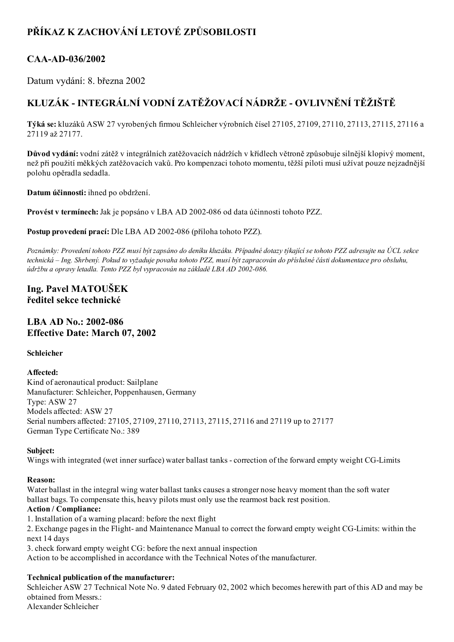# PŘÍKAZ K ZACHOVÁNÍ LETOVÉ ZPŮSOBILOSTI

## CAA-AD-036/2002

Datum vydání: 8. března 2002

# KLUZÁK - INTEGRÁLNÍ VODNÍ ZATĚŽOVACÍ NÁDRŽE - OVLIVNĚNÍ TĚŽIŠTĚ

Týká se: kluzáků ASW 27 vyrobených firmou Schleicher výrobních čísel 27105, 27109, 27110, 27113, 27115, 27116 a 27119 až 27177.

Důvod vydání: vodní zátěž v integrálních zatěžovacích nádržích v křídlech větroně způsobuje silnější klopivý moment, než při použití měkkých zatěžovacích vaků. Pro kompenzaci tohoto momentu, těžší piloti musí užívat pouze nejzadnější polohu opěradla sedadla.

Datum účinnosti: ihned po obdržení.

Provést v termínech: Jak je popsáno v LBA AD 2002-086 od data účinnosti tohoto PZZ.

Postup provedení prací: Dle LBA AD 2002-086 (příloha tohoto PZZ).

Poznámky: Provedení tohoto PZZ musí být zapsáno do deníku kluzáku. Případné dotazy týkající se tohoto PZZ adresujte na ÚCL sekce technická – Ing. Shrbený. Pokud to vyžaduje povaha tohoto PZZ, musí být zapracován do příslušné části dokumentace pro obsluhu, údržbu a opravy letadla. Tento PZZ byl vypracován na základě LBA AD 2002-086.

## Ing. Pavel MATOUŠEK ředitel sekce technické

### $LBA AD No.: 2002-086$ Effective Date: March 07, 2002

#### Schleicher

#### Affected:

Kind of aeronautical product: Sailplane Manufacturer: Schleicher, Poppenhausen, Germany Type: ASW 27 Models affected: ASW 27 Serial numbers affected: 27105, 27109, 27110, 27113, 27115, 27116 and 27119 up to 27177 German Type Certificate No.: 389

#### Subject:

Wings with integrated (wet inner surface) water ballast tanks - correction of the forward empty weight CG-Limits

#### Reason:

Water ballast in the integral wing water ballast tanks causes a stronger nose heavy moment than the soft water ballast bags. To compensate this, heavy pilots must only use the rearmost back rest position.

#### Action / Compliance:

1. Installation of a warning placard: before the next flight

2. Exchange pages in the Flight- and Maintenance Manual to correct the forward empty weight CG-Limits: within the next 14 days

3. check forward empty weight CG: before the next annual inspection

Action to be accomplished in accordance with the Technical Notes of the manufacturer.

#### Technical publication of the manufacturer:

Schleicher ASW 27 Technical Note No. 9 dated February 02, 2002 which becomes herewith part of this AD and may be obtained from Messrs.: Alexander Schleicher